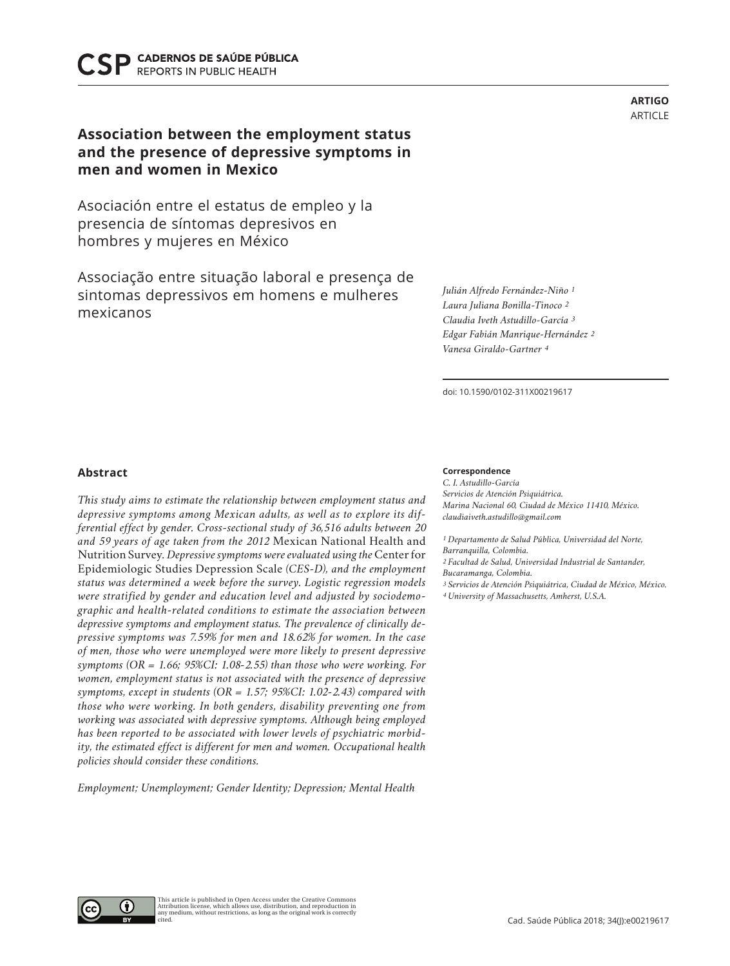**CADERNOS DE SAÚDE PÚBLICA REPORTS IN PUBLIC HEALTH** 

# **Association between the employment status and the presence of depressive symptoms in men and women in Mexico**

Asociación entre el estatus de empleo y la presencia de síntomas depresivos en hombres y mujeres en México

Associação entre situação laboral e presença de sintomas depressivos em homens e mulheres mexicanos

*Julián Alfredo Fernández-Niño 1 Laura Juliana Bonilla-Tinoco 2 Claudia Iveth Astudillo-García 3 Edgar Fabián Manrique-Hernández 2 Vanesa Giraldo-Gartner 4*

doi: 10.1590/0102-311X00219617

# **Abstract**

*This study aims to estimate the relationship between employment status and depressive symptoms among Mexican adults, as well as to explore its differential effect by gender. Cross-sectional study of 36,516 adults between 20 and 59 years of age taken from the 2012* Mexican National Health and Nutrition Survey*. Depressive symptoms were evaluated using the* Center for Epidemiologic Studies Depression Scale *(CES-D), and the employment status was determined a week before the survey. Logistic regression models were stratified by gender and education level and adjusted by sociodemographic and health-related conditions to estimate the association between depressive symptoms and employment status. The prevalence of clinically depressive symptoms was 7.59% for men and 18.62% for women. In the case of men, those who were unemployed were more likely to present depressive symptoms (OR = 1.66; 95%CI: 1.08-2.55) than those who were working. For women, employment status is not associated with the presence of depressive symptoms, except in students (OR = 1.57; 95%CI: 1.02-2.43) compared with those who were working. In both genders, disability preventing one from working was associated with depressive symptoms. Although being employed has been reported to be associated with lower levels of psychiatric morbidity, the estimated effect is different for men and women. Occupational health policies should consider these conditions.* 

*Employment; Unemployment; Gender Identity; Depression; Mental Health*

#### **Correspondence**

*C. I. Astudillo-García Servicios de Atención Psiquiátrica. Marina Nacional 60, Ciudad de México 11410, México. claudiaiveth.astudillo@gmail.com*

*1 Departamento de Salud Pública, Universidad del Norte, Barranquilla, Colombia. 2 Facultad de Salud, Universidad Industrial de Santander, Bucaramanga, Colombia. 3 Servicios de Atención Psiquiátrica, Ciudad de México, México. 4 University of Massachusetts, Amherst, U.S.A.*

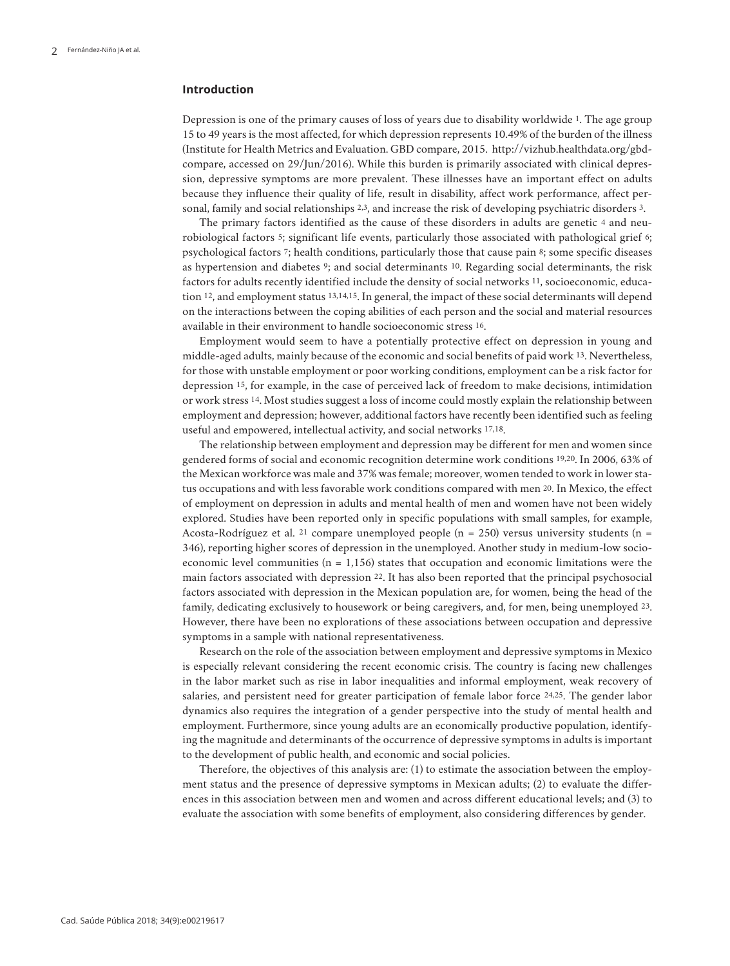# **Introduction**

Depression is one of the primary causes of loss of years due to disability worldwide 1. The age group 15 to 49 years is the most affected, for which depression represents 10.49% of the burden of the illness (Institute for Health Metrics and Evaluation. GBD compare, 2015. http://vizhub.healthdata.org/gbdcompare, accessed on 29/Jun/2016). While this burden is primarily associated with clinical depression, depressive symptoms are more prevalent. These illnesses have an important effect on adults because they influence their quality of life, result in disability, affect work performance, affect personal, family and social relationships 2,3, and increase the risk of developing psychiatric disorders 3.

The primary factors identified as the cause of these disorders in adults are genetic 4 and neurobiological factors 5; significant life events, particularly those associated with pathological grief 6; psychological factors 7; health conditions, particularly those that cause pain 8; some specific diseases as hypertension and diabetes 9; and social determinants 10. Regarding social determinants, the risk factors for adults recently identified include the density of social networks 11, socioeconomic, education 12, and employment status 13,14,15. In general, the impact of these social determinants will depend on the interactions between the coping abilities of each person and the social and material resources available in their environment to handle socioeconomic stress 16.

Employment would seem to have a potentially protective effect on depression in young and middle-aged adults, mainly because of the economic and social benefits of paid work 13. Nevertheless, for those with unstable employment or poor working conditions, employment can be a risk factor for depression 15, for example, in the case of perceived lack of freedom to make decisions, intimidation or work stress 14. Most studies suggest a loss of income could mostly explain the relationship between employment and depression; however, additional factors have recently been identified such as feeling useful and empowered, intellectual activity, and social networks 17,18.

The relationship between employment and depression may be different for men and women since gendered forms of social and economic recognition determine work conditions 19,20. In 2006, 63% of the Mexican workforce was male and 37% was female; moreover, women tended to work in lower status occupations and with less favorable work conditions compared with men 20. In Mexico, the effect of employment on depression in adults and mental health of men and women have not been widely explored. Studies have been reported only in specific populations with small samples, for example, Acosta-Rodríguez et al. <sup>21</sup> compare unemployed people ( $n = 250$ ) versus university students ( $n =$ 346), reporting higher scores of depression in the unemployed. Another study in medium-low socioeconomic level communities ( $n = 1,156$ ) states that occupation and economic limitations were the main factors associated with depression 22. It has also been reported that the principal psychosocial factors associated with depression in the Mexican population are, for women, being the head of the family, dedicating exclusively to housework or being caregivers, and, for men, being unemployed 23. However, there have been no explorations of these associations between occupation and depressive symptoms in a sample with national representativeness.

Research on the role of the association between employment and depressive symptoms in Mexico is especially relevant considering the recent economic crisis. The country is facing new challenges in the labor market such as rise in labor inequalities and informal employment, weak recovery of salaries, and persistent need for greater participation of female labor force 24,25. The gender labor dynamics also requires the integration of a gender perspective into the study of mental health and employment. Furthermore, since young adults are an economically productive population, identifying the magnitude and determinants of the occurrence of depressive symptoms in adults is important to the development of public health, and economic and social policies.

Therefore, the objectives of this analysis are: (1) to estimate the association between the employment status and the presence of depressive symptoms in Mexican adults; (2) to evaluate the differences in this association between men and women and across different educational levels; and (3) to evaluate the association with some benefits of employment, also considering differences by gender.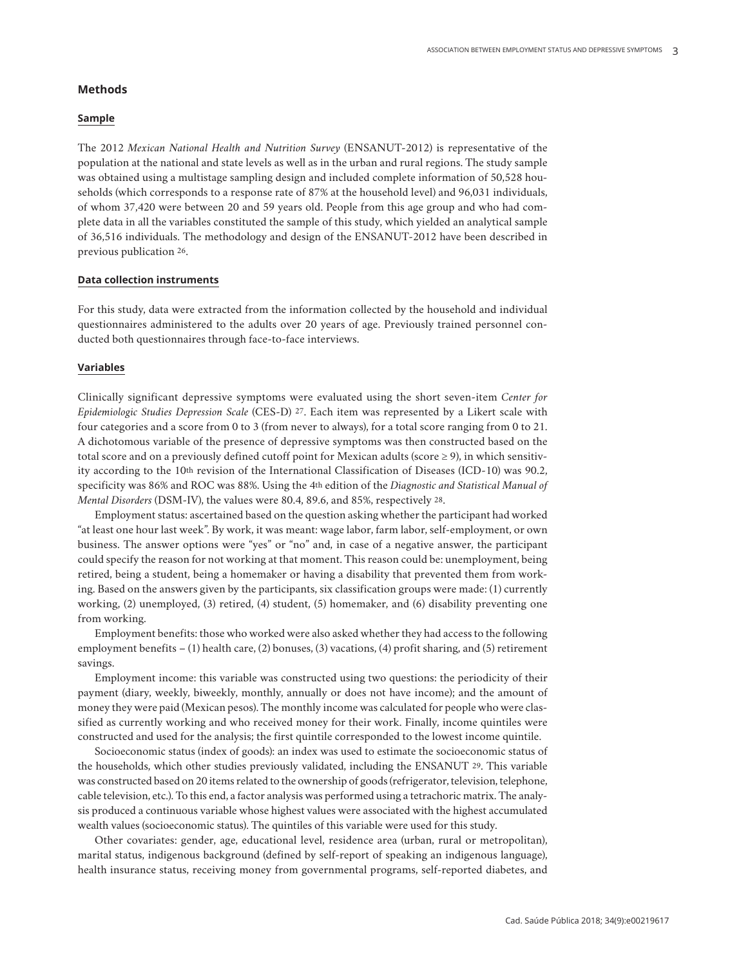# **Methods**

# **Sample**

The 2012 *Mexican National Health and Nutrition Survey* (ENSANUT-2012) is representative of the population at the national and state levels as well as in the urban and rural regions. The study sample was obtained using a multistage sampling design and included complete information of 50,528 households (which corresponds to a response rate of 87% at the household level) and 96,031 individuals, of whom 37,420 were between 20 and 59 years old. People from this age group and who had complete data in all the variables constituted the sample of this study, which yielded an analytical sample of 36,516 individuals. The methodology and design of the ENSANUT-2012 have been described in previous publication 26.

#### **Data collection instruments**

For this study, data were extracted from the information collected by the household and individual questionnaires administered to the adults over 20 years of age. Previously trained personnel conducted both questionnaires through face-to-face interviews.

# **Variables**

Clinically significant depressive symptoms were evaluated using the short seven-item *Center for Epidemiologic Studies Depression Scale* (CES-D) 27. Each item was represented by a Likert scale with four categories and a score from 0 to 3 (from never to always), for a total score ranging from 0 to 21. A dichotomous variable of the presence of depressive symptoms was then constructed based on the total score and on a previously defined cutoff point for Mexican adults (score  $\geq$  9), in which sensitivity according to the 10th revision of the International Classification of Diseases (ICD-10) was 90.2, specificity was 86% and ROC was 88%. Using the 4th edition of the *Diagnostic and Statistical Manual of Mental Disorders* (DSM-IV), the values were 80.4, 89.6, and 85%, respectively 28.

Employment status: ascertained based on the question asking whether the participant had worked "at least one hour last week". By work, it was meant: wage labor, farm labor, self-employment, or own business. The answer options were "yes" or "no" and, in case of a negative answer, the participant could specify the reason for not working at that moment. This reason could be: unemployment, being retired, being a student, being a homemaker or having a disability that prevented them from working. Based on the answers given by the participants, six classification groups were made: (1) currently working, (2) unemployed, (3) retired, (4) student, (5) homemaker, and (6) disability preventing one from working.

Employment benefits: those who worked were also asked whether they had access to the following employment benefits – (1) health care, (2) bonuses, (3) vacations, (4) profit sharing, and (5) retirement savings.

Employment income: this variable was constructed using two questions: the periodicity of their payment (diary, weekly, biweekly, monthly, annually or does not have income); and the amount of money they were paid (Mexican pesos). The monthly income was calculated for people who were classified as currently working and who received money for their work. Finally, income quintiles were constructed and used for the analysis; the first quintile corresponded to the lowest income quintile.

Socioeconomic status (index of goods): an index was used to estimate the socioeconomic status of the households, which other studies previously validated, including the ENSANUT 29. This variable was constructed based on 20 items related to the ownership of goods (refrigerator, television, telephone, cable television, etc.). To this end, a factor analysis was performed using a tetrachoric matrix. The analysis produced a continuous variable whose highest values were associated with the highest accumulated wealth values (socioeconomic status). The quintiles of this variable were used for this study.

Other covariates: gender, age, educational level, residence area (urban, rural or metropolitan), marital status, indigenous background (defined by self-report of speaking an indigenous language), health insurance status, receiving money from governmental programs, self-reported diabetes, and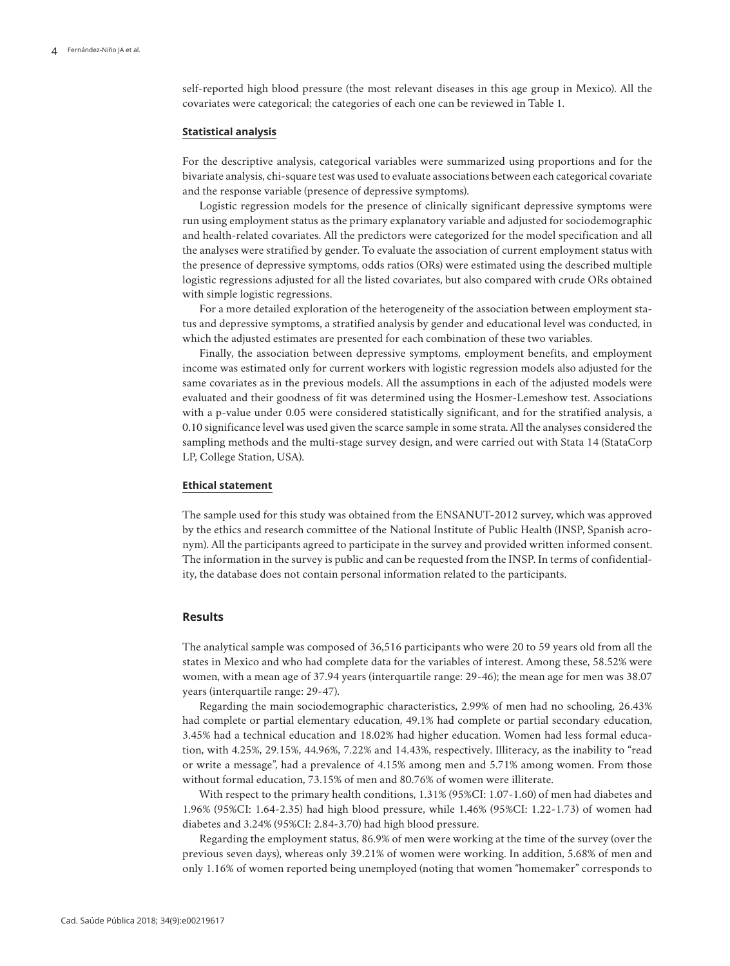self-reported high blood pressure (the most relevant diseases in this age group in Mexico). All the covariates were categorical; the categories of each one can be reviewed in Table 1.

#### **Statistical analysis**

For the descriptive analysis, categorical variables were summarized using proportions and for the bivariate analysis, chi-square test was used to evaluate associations between each categorical covariate and the response variable (presence of depressive symptoms).

Logistic regression models for the presence of clinically significant depressive symptoms were run using employment status as the primary explanatory variable and adjusted for sociodemographic and health-related covariates. All the predictors were categorized for the model specification and all the analyses were stratified by gender. To evaluate the association of current employment status with the presence of depressive symptoms, odds ratios (ORs) were estimated using the described multiple logistic regressions adjusted for all the listed covariates, but also compared with crude ORs obtained with simple logistic regressions.

For a more detailed exploration of the heterogeneity of the association between employment status and depressive symptoms, a stratified analysis by gender and educational level was conducted, in which the adjusted estimates are presented for each combination of these two variables.

Finally, the association between depressive symptoms, employment benefits, and employment income was estimated only for current workers with logistic regression models also adjusted for the same covariates as in the previous models. All the assumptions in each of the adjusted models were evaluated and their goodness of fit was determined using the Hosmer-Lemeshow test. Associations with a p-value under 0.05 were considered statistically significant, and for the stratified analysis, a 0.10 significance level was used given the scarce sample in some strata. All the analyses considered the sampling methods and the multi-stage survey design, and were carried out with Stata 14 (StataCorp LP, College Station, USA).

#### **Ethical statement**

The sample used for this study was obtained from the ENSANUT-2012 survey, which was approved by the ethics and research committee of the National Institute of Public Health (INSP, Spanish acronym). All the participants agreed to participate in the survey and provided written informed consent. The information in the survey is public and can be requested from the INSP. In terms of confidentiality, the database does not contain personal information related to the participants.

#### **Results**

The analytical sample was composed of 36,516 participants who were 20 to 59 years old from all the states in Mexico and who had complete data for the variables of interest. Among these, 58.52% were women, with a mean age of 37.94 years (interquartile range: 29-46); the mean age for men was 38.07 years (interquartile range: 29-47).

Regarding the main sociodemographic characteristics, 2.99% of men had no schooling, 26.43% had complete or partial elementary education, 49.1% had complete or partial secondary education, 3.45% had a technical education and 18.02% had higher education. Women had less formal education, with 4.25%, 29.15%, 44.96%, 7.22% and 14.43%, respectively. Illiteracy, as the inability to "read or write a message", had a prevalence of 4.15% among men and 5.71% among women. From those without formal education, 73.15% of men and 80.76% of women were illiterate.

With respect to the primary health conditions, 1.31% (95%CI: 1.07-1.60) of men had diabetes and 1.96% (95%CI: 1.64-2.35) had high blood pressure, while 1.46% (95%CI: 1.22-1.73) of women had diabetes and 3.24% (95%CI: 2.84-3.70) had high blood pressure.

Regarding the employment status, 86.9% of men were working at the time of the survey (over the previous seven days), whereas only 39.21% of women were working. In addition, 5.68% of men and only 1.16% of women reported being unemployed (noting that women "homemaker" corresponds to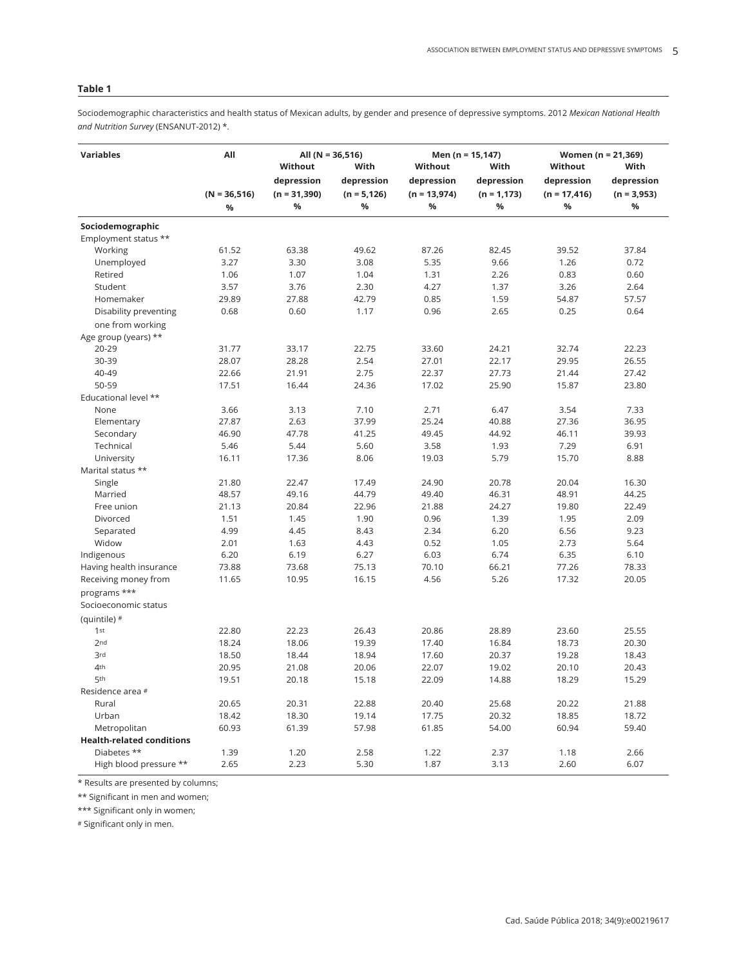Sociodemographic characteristics and health status of Mexican adults, by gender and presence of depressive symptoms. 2012 *Mexican National Health and Nutrition Survey* (ENSANUT-2012) \*.

| <b>Variables</b>                     | All             |                 | All (N = 36,516) |                | Men (n = 15,147) | Women (n = 21,369) |               |  |
|--------------------------------------|-----------------|-----------------|------------------|----------------|------------------|--------------------|---------------|--|
|                                      |                 | Without<br>With |                  | <b>Without</b> | With             | Without            | With          |  |
|                                      |                 | depression      | depression       | depression     | depression       | depression         | depression    |  |
|                                      | $(N = 36, 516)$ | $(n = 31,390)$  | $(n = 5, 126)$   | $(n = 13,974)$ | $(n = 1, 173)$   | $(n = 17, 416)$    | $(n = 3,953)$ |  |
|                                      | %               | %               | %                | %              | %                | %                  | %             |  |
| Sociodemographic                     |                 |                 |                  |                |                  |                    |               |  |
| Employment status **                 |                 |                 |                  |                |                  |                    |               |  |
| Working                              | 61.52           | 63.38           | 49.62            | 87.26          | 82.45            | 39.52              | 37.84         |  |
| Unemployed                           | 3.27            | 3.30            | 3.08             | 5.35           | 9.66             | 1.26               | 0.72          |  |
| Retired                              | 1.06            | 1.07            | 1.04             | 1.31           | 2.26             | 0.83               | 0.60          |  |
| Student                              | 3.57            | 3.76            | 2.30             | 4.27           | 1.37             | 3.26               | 2.64          |  |
| Homemaker                            | 29.89           | 27.88           | 42.79            | 0.85           | 1.59             | 54.87              | 57.57         |  |
| Disability preventing                | 0.68            | 0.60            | 1.17             | 0.96           | 2.65             | 0.25               | 0.64          |  |
| one from working                     |                 |                 |                  |                |                  |                    |               |  |
| Age group (years) **                 |                 |                 |                  |                |                  |                    |               |  |
| 20-29                                | 31.77           | 33.17           | 22.75            | 33.60          | 24.21            | 32.74              | 22.23         |  |
| 30-39                                | 28.07           | 28.28           | 2.54             | 27.01          | 22.17            | 29.95              | 26.55         |  |
| 40-49                                | 22.66           | 21.91           | 2.75             | 22.37          | 27.73            | 21.44              | 27.42         |  |
| 50-59                                | 17.51           | 16.44           | 24.36            | 17.02          | 25.90            | 15.87              | 23.80         |  |
| Educational level **                 |                 |                 |                  |                |                  |                    |               |  |
| None                                 | 3.66            | 3.13            | 7.10             | 2.71           | 6.47             | 3.54               | 7.33          |  |
| Elementary                           | 27.87           | 2.63            | 37.99            | 25.24          | 40.88            | 27.36              | 36.95         |  |
| Secondary                            | 46.90           | 47.78           | 41.25            | 49.45          | 44.92            | 46.11              | 39.93         |  |
| Technical                            | 5.46            | 5.44            | 5.60             | 3.58           | 1.93             | 7.29               | 6.91          |  |
| University                           | 16.11           | 17.36           | 8.06             | 19.03          | 5.79             | 15.70              | 8.88          |  |
| Marital status **                    |                 |                 |                  |                |                  |                    |               |  |
| Single                               | 21.80           | 22.47           | 17.49            | 24.90          | 20.78            | 20.04              | 16.30         |  |
| Married                              | 48.57           | 49.16           | 44.79            | 49.40          | 46.31            | 48.91              | 44.25         |  |
| Free union                           | 21.13           | 20.84           | 22.96            | 21.88          | 24.27            | 19.80              | 22.49         |  |
| Divorced                             | 1.51            | 1.45            | 1.90             | 0.96           | 1.39             | 1.95               | 2.09          |  |
| Separated                            | 4.99            | 4.45            | 8.43             | 2.34           | 6.20             | 6.56               | 9.23          |  |
| Widow                                | 2.01            | 1.63            | 4.43             | 0.52           | 1.05             | 2.73               | 5.64          |  |
| Indigenous                           | 6.20            | 6.19            | 6.27             | 6.03           | 6.74             | 6.35               | 6.10          |  |
| Having health insurance              | 73.88           | 73.68           | 75.13            | 70.10          | 66.21            | 77.26              | 78.33         |  |
| Receiving money from                 | 11.65           | 10.95           | 16.15            | 4.56           | 5.26             | 17.32              | 20.05         |  |
|                                      |                 |                 |                  |                |                  |                    |               |  |
| programs ***<br>Socioeconomic status |                 |                 |                  |                |                  |                    |               |  |
|                                      |                 |                 |                  |                |                  |                    |               |  |
| (quintile) #                         |                 |                 |                  |                |                  |                    |               |  |
| 1st                                  | 22.80           | 22.23           | 26.43            | 20.86          | 28.89            | 23.60              | 25.55         |  |
| 2 <sub>nd</sub>                      | 18.24           | 18.06           | 19.39            | 17.40          | 16.84            | 18.73              | 20.30         |  |
| 3rd                                  | 18.50           | 18.44           | 18.94            | 17.60          | 20.37            | 19.28              | 18.43         |  |
| 4th                                  | 20.95           | 21.08           | 20.06            | 22.07          | 19.02            | 20.10              | 20.43         |  |
| 5th                                  | 19.51           | 20.18           | 15.18            | 22.09          | 14.88            | 18.29              | 15.29         |  |
| Residence area #                     |                 |                 |                  |                |                  |                    |               |  |
| Rural                                | 20.65           | 20.31           | 22.88            | 20.40          | 25.68            | 20.22              | 21.88         |  |
| Urban                                | 18.42           | 18.30           | 19.14            | 17.75          | 20.32            | 18.85              | 18.72         |  |
| Metropolitan                         | 60.93           | 61.39           | 57.98            | 61.85          | 54.00            | 60.94              | 59.40         |  |
| <b>Health-related conditions</b>     |                 |                 |                  |                |                  |                    |               |  |
| Diabetes **                          | 1.39            | 1.20            | 2.58             | 1.22           | 2.37             | 1.18               | 2.66          |  |
| High blood pressure **               | 2.65            | 2.23            | 5.30             | 1.87           | 3.13             | 2.60               | 6.07          |  |

\* Results are presented by columns;

\*\* Significant in men and women;

\*\*\* Significant only in women;

# Significant only in men.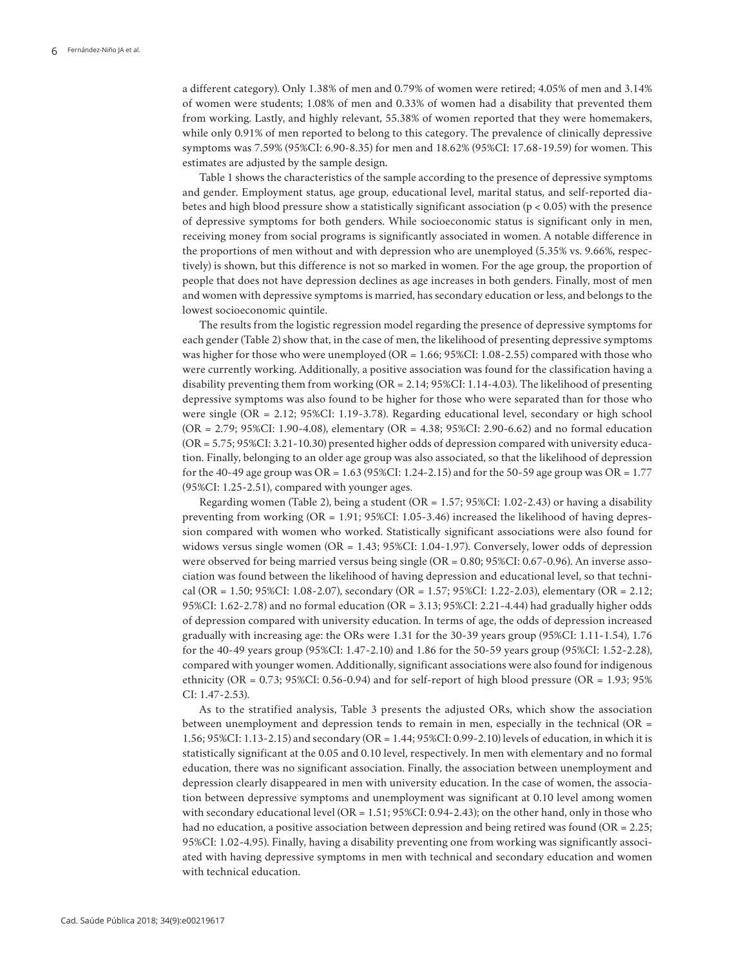a different category). Only 1.38% of men and 0.79% of women were retired; 4.05% of men and 3.14% of women were students; 1.08% of men and 0.33% of women had a disability that prevented them from working. Lastly, and highly relevant, 55.38% of women reported that they were homemakers, while only 0.91% of men reported to belong to this category. The prevalence of clinically depressive symptoms was 7.59% (95%CI: 6.90-8.35) for men and 18.62% (95%CI: 17.68-19.59) for women. This estimates are adjusted by the sample design.

Table 1 shows the characteristics of the sample according to the presence of depressive symptoms and gender. Employment status, age group, educational level, marital status, and self-reported diabetes and high blood pressure show a statistically significant association (p < 0.05) with the presence of depressive symptoms for both genders. While socioeconomic status is significant only in men, receiving money from social programs is significantly associated in women. A notable difference in the proportions of men without and with depression who are unemployed (5.35% vs. 9.66%, respectively) is shown, but this difference is not so marked in women. For the age group, the proportion of people that does not have depression declines as age increases in both genders. Finally, most of men and women with depressive symptoms is married, has secondary education or less, and belongs to the lowest socioeconomic quintile.

The results from the logistic regression model regarding the presence of depressive symptoms for each gender (Table 2) show that, in the case of men, the likelihood of presenting depressive symptoms was higher for those who were unemployed (OR = 1.66; 95%CI: 1.08-2.55) compared with those who were currently working. Additionally, a positive association was found for the classification having a disability preventing them from working (OR = 2.14; 95%CI: 1.14-4.03). The likelihood of presenting depressive symptoms was also found to be higher for those who were separated than for those who were single (OR = 2.12; 95%CI: 1.19-3.78). Regarding educational level, secondary or high school (OR = 2.79; 95%CI: 1.90-4.08), elementary (OR = 4.38; 95%CI: 2.90-6.62) and no formal education (OR = 5.75; 95%CI: 3.21-10.30) presented higher odds of depression compared with university education. Finally, belonging to an older age group was also associated, so that the likelihood of depression for the 40-49 age group was  $OR = 1.63 (95\% CI: 1.24-2.15)$  and for the 50-59 age group was  $OR = 1.77$ (95%CI: 1.25-2.51), compared with younger ages.

Regarding women (Table 2), being a student (OR = 1.57; 95%CI: 1.02-2.43) or having a disability preventing from working (OR = 1.91; 95%CI: 1.05-3.46) increased the likelihood of having depression compared with women who worked. Statistically significant associations were also found for widows versus single women  $(OR = 1.43; 95\% CI: 1.04-1.97)$ . Conversely, lower odds of depression were observed for being married versus being single (OR = 0.80; 95%CI: 0.67-0.96). An inverse association was found between the likelihood of having depression and educational level, so that technical (OR = 1.50; 95%CI: 1.08-2.07), secondary (OR = 1.57; 95%CI: 1.22-2.03), elementary (OR = 2.12; 95%CI: 1.62-2.78) and no formal education (OR = 3.13; 95%CI: 2.21-4.44) had gradually higher odds of depression compared with university education. In terms of age, the odds of depression increased gradually with increasing age: the ORs were 1.31 for the 30-39 years group (95%CI: 1.11-1.54), 1.76 for the 40-49 years group (95%CI: 1.47-2.10) and 1.86 for the 50-59 years group (95%CI: 1.52-2.28), compared with younger women. Additionally, significant associations were also found for indigenous ethnicity (OR = 0.73; 95%CI: 0.56-0.94) and for self-report of high blood pressure (OR = 1.93; 95% CI: 1.47-2.53).

As to the stratified analysis, Table 3 presents the adjusted ORs, which show the association between unemployment and depression tends to remain in men, especially in the technical (OR  $=$ 1.56; 95%CI: 1.13-2.15) and secondary (OR = 1.44; 95%CI: 0.99-2.10) levels of education, in which it is statistically significant at the 0.05 and 0.10 level, respectively. In men with elementary and no formal education, there was no significant association. Finally, the association between unemployment and depression clearly disappeared in men with university education. In the case of women, the association between depressive symptoms and unemployment was significant at 0.10 level among women with secondary educational level (OR = 1.51; 95%CI: 0.94-2.43); on the other hand, only in those who had no education, a positive association between depression and being retired was found (OR = 2.25; 95%CI: 1.02-4.95). Finally, having a disability preventing one from working was significantly associated with having depressive symptoms in men with technical and secondary education and women with technical education.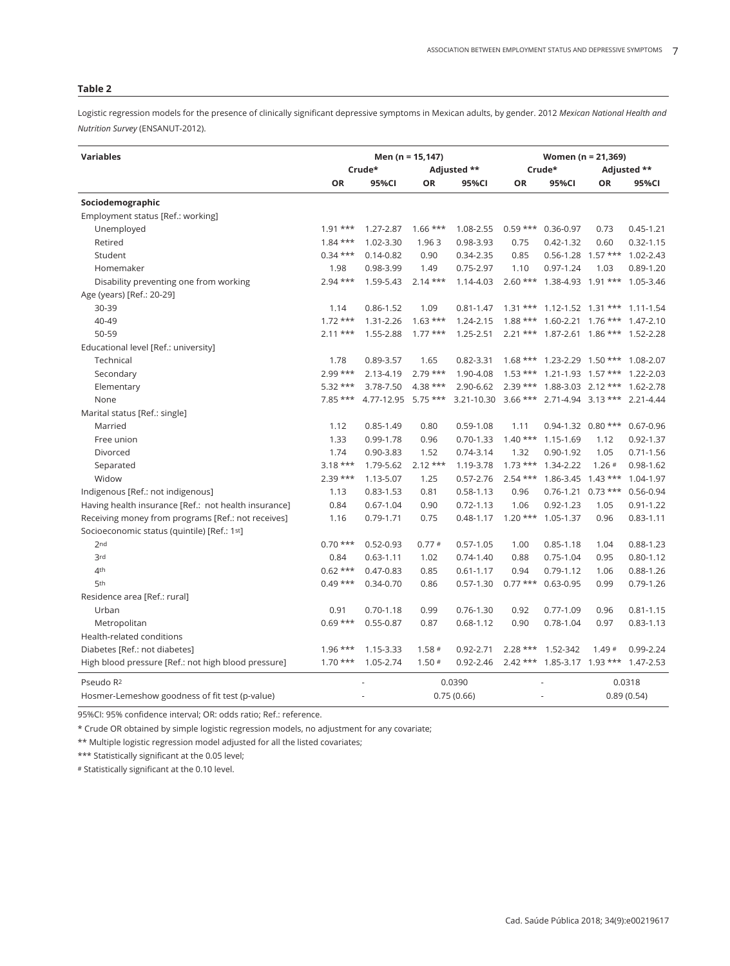Logistic regression models for the presence of clinically significant depressive symptoms in Mexican adults, by gender. 2012 *Mexican National Health and Nutrition Survey* (ENSANUT-2012).

| <b>Variables</b>                                     | Men (n = 15,147) |               |            |               |            | Women (n = 21,369)                    |                        |               |  |
|------------------------------------------------------|------------------|---------------|------------|---------------|------------|---------------------------------------|------------------------|---------------|--|
|                                                      |                  | Crude*        |            | Adjusted **   |            | Crude*                                |                        | Adjusted **   |  |
|                                                      | OR               | 95%CI         | <b>OR</b>  | 95%CI         | <b>OR</b>  | 95%CI                                 | <b>OR</b>              | 95%CI         |  |
| Sociodemographic                                     |                  |               |            |               |            |                                       |                        |               |  |
| Employment status [Ref.: working]                    |                  |               |            |               |            |                                       |                        |               |  |
| Unemployed                                           | $1.91***$        | 1.27-2.87     | $1.66$ *** | 1.08-2.55     | $0.59***$  | $0.36 - 0.97$                         | 0.73                   | $0.45 - 1.21$ |  |
| Retired                                              | $1.84***$        | 1.02-3.30     | 1.963      | 0.98-3.93     | 0.75       | $0.42 - 1.32$                         | 0.60                   | $0.32 - 1.15$ |  |
| Student                                              | $0.34***$        | $0.14 - 0.82$ | 0.90       | $0.34 - 2.35$ | 0.85       |                                       | $0.56 - 1.28$ 1.57 *** | 1.02-2.43     |  |
| Homemaker                                            | 1.98             | 0.98-3.99     | 1.49       | $0.75 - 2.97$ | 1.10       | $0.97 - 1.24$                         | 1.03                   | $0.89 - 1.20$ |  |
| Disability preventing one from working               | $2.94***$        | 1.59-5.43     | $2.14***$  | 1.14-4.03     |            | $2.60$ *** 1.38-4.93 1.91 ***         |                        | 1.05-3.46     |  |
| Age (years) [Ref.: 20-29]                            |                  |               |            |               |            |                                       |                        |               |  |
| 30-39                                                | 1.14             | $0.86 - 1.52$ | 1.09       | $0.81 - 1.47$ |            | 1.31 *** 1.12-1.52 1.31 *** 1.11-1.54 |                        |               |  |
| 40-49                                                | $1.72***$        | 1.31-2.26     | $1.63***$  | 1.24-2.15     | $1.88***$  | $1.60 - 2.21$ $1.76$ ***              |                        | 1.47-2.10     |  |
| 50-59                                                | $2.11***$        | 1.55-2.88     | $1.77***$  | 1.25-2.51     |            | 2.21 *** 1.87-2.61 1.86 *** 1.52-2.28 |                        |               |  |
| Educational level [Ref.: university]                 |                  |               |            |               |            |                                       |                        |               |  |
| Technical                                            | 1.78             | 0.89-3.57     | 1.65       | $0.82 - 3.31$ |            | 1.68 *** 1.23-2.29 1.50 *** 1.08-2.07 |                        |               |  |
| Secondary                                            | $2.99***$        | 2.13-4.19     | $2.79$ *** | 1.90-4.08     |            | 1.53 *** 1.21-1.93 1.57 *** 1.22-2.03 |                        |               |  |
| Elementary                                           | $5.32***$        | 3.78-7.50     | $4.38***$  | 2.90-6.62     |            | 2.39 *** 1.88-3.03 2.12 ***           |                        | 1.62-2.78     |  |
| None                                                 | $7.85***$        | 4.77-12.95    | $5.75***$  | 3.21-10.30    |            | $3.66***$ 2.71-4.94 3.13 ***          |                        | $2.21 - 4.44$ |  |
| Marital status [Ref.: single]                        |                  |               |            |               |            |                                       |                        |               |  |
| Married                                              | 1.12             | $0.85 - 1.49$ | 0.80       | $0.59 - 1.08$ | 1.11       |                                       | $0.94 - 1.32$ 0.80 *** | $0.67 - 0.96$ |  |
| Free union                                           | 1.33             | 0.99-1.78     | 0.96       | $0.70 - 1.33$ | $1.40***$  | 1.15-1.69                             | 1.12                   | $0.92 - 1.37$ |  |
| Divorced                                             | 1.74             | $0.90 - 3.83$ | 1.52       | $0.74 - 3.14$ | 1.32       | 0.90-1.92                             | 1.05                   | $0.71 - 1.56$ |  |
| Separated                                            | $3.18***$        | 1.79-5.62     | $2.12***$  | 1.19-3.78     | $1.73***$  | 1.34-2.22                             | 1.26#                  | 0.98-1.62     |  |
| Widow                                                | $2.39***$        | 1.13-5.07     | 1.25       | $0.57 - 2.76$ | $2.54$ *** | $1.86 - 3.45$ $1.43$ ***              |                        | 1.04-1.97     |  |
| Indigenous [Ref.: not indigenous]                    | 1.13             | $0.83 - 1.53$ | 0.81       | $0.58 - 1.13$ | 0.96       | $0.76 - 1.21$ 0.73 ***                |                        | 0.56-0.94     |  |
| Having health insurance [Ref.: not health insurance] | 0.84             | $0.67 - 1.04$ | 0.90       | $0.72 - 1.13$ | 1.06       | $0.92 - 1.23$                         | 1.05                   | $0.91 - 1.22$ |  |
| Receiving money from programs [Ref.: not receives]   | 1.16             | 0.79-1.71     | 0.75       | $0.48 - 1.17$ | $1.20***$  | 1.05-1.37                             | 0.96                   | $0.83 - 1.11$ |  |
| Socioeconomic status (quintile) [Ref.: 1st]          |                  |               |            |               |            |                                       |                        |               |  |
| 2 <sub>nd</sub>                                      | $0.70***$        | $0.52 - 0.93$ | $0.77$ #   | $0.57 - 1.05$ | 1.00       | $0.85 - 1.18$                         | 1.04                   | $0.88 - 1.23$ |  |
| 3rd                                                  | 0.84             | $0.63 - 1.11$ | 1.02       | $0.74 - 1.40$ | 0.88       | $0.75 - 1.04$                         | 0.95                   | $0.80 - 1.12$ |  |
| 4th                                                  | $0.62***$        | $0.47 - 0.83$ | 0.85       | $0.61 - 1.17$ | 0.94       | $0.79 - 1.12$                         | 1.06                   | $0.88 - 1.26$ |  |
| 5th                                                  | $0.49***$        | $0.34 - 0.70$ | 0.86       | $0.57 - 1.30$ |            | $0.77***$ 0.63-0.95                   | 0.99                   | $0.79 - 1.26$ |  |
| Residence area [Ref.: rural]                         |                  |               |            |               |            |                                       |                        |               |  |
| Urban                                                | 0.91             | $0.70 - 1.18$ | 0.99       | $0.76 - 1.30$ | 0.92       | $0.77 - 1.09$                         | 0.96                   | $0.81 - 1.15$ |  |
| Metropolitan                                         | $0.69***$        | $0.55 - 0.87$ | 0.87       | $0.68 - 1.12$ | 0.90       | 0.78-1.04                             | 0.97                   | $0.83 - 1.13$ |  |
| Health-related conditions                            |                  |               |            |               |            |                                       |                        |               |  |
| Diabetes [Ref.: not diabetes]                        | $1.96***$        | 1.15-3.33     | 1.58#      | $0.92 - 2.71$ | $2.28$ *** | 1.52-342                              | $1.49*$                | 0.99-2.24     |  |
| High blood pressure [Ref.: not high blood pressure]  | $1.70***$        | 1.05-2.74     | 1.50#      | $0.92 - 2.46$ |            | 2.42 *** 1.85-3.17 1.93 ***           |                        | 1.47-2.53     |  |
| Pseudo R <sup>2</sup>                                |                  |               |            | 0.0390        |            |                                       |                        | 0.0318        |  |
| Hosmer-Lemeshow goodness of fit test (p-value)       |                  |               |            | 0.75(0.66)    |            |                                       |                        | 0.89(0.54)    |  |

95%CI: 95% confidence interval; OR: odds ratio; Ref.: reference.

\* Crude OR obtained by simple logistic regression models, no adjustment for any covariate;

\*\* Multiple logistic regression model adjusted for all the listed covariates;

\*\*\* Statistically significant at the 0.05 level;

# Statistically significant at the 0.10 level.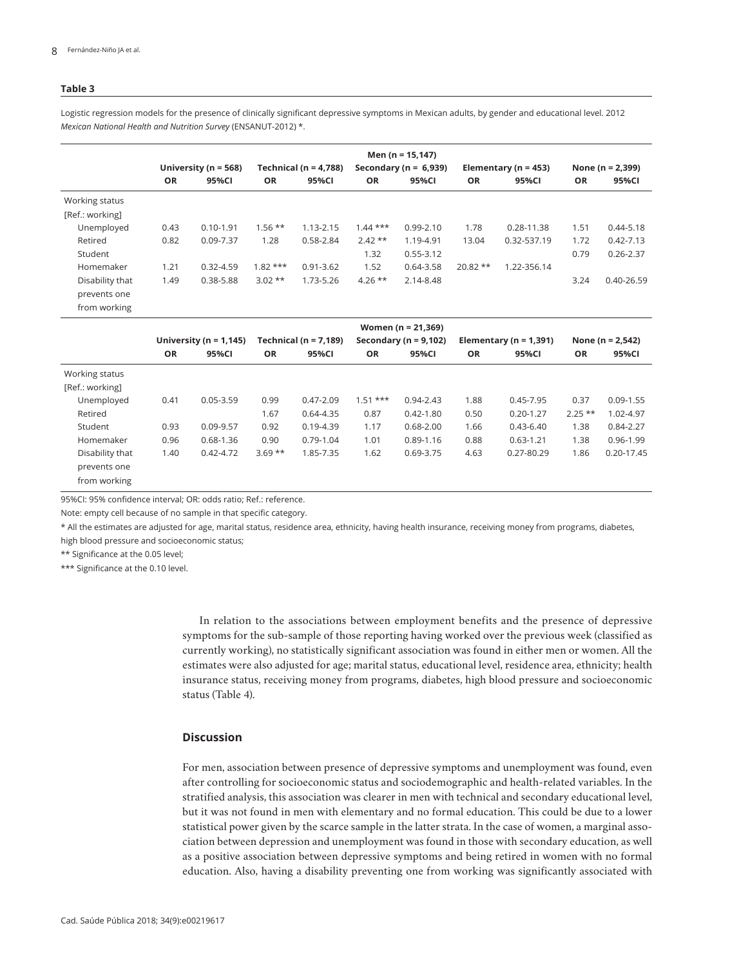Logistic regression models for the presence of clinically significant depressive symptoms in Mexican adults, by gender and educational level. 2012 *Mexican National Health and Nutrition Survey* (ENSANUT-2012) \*.

|                 |                          |               |                           |               |                           | Men (n = $15,147$ )    |                          |             |                      |               |
|-----------------|--------------------------|---------------|---------------------------|---------------|---------------------------|------------------------|--------------------------|-------------|----------------------|---------------|
|                 | University ( $n = 568$ ) |               | Technical ( $n = 4.788$ ) |               | Secondary ( $n = 6.939$ ) |                        | Elementary ( $n = 453$ ) |             | None ( $n = 2,399$ ) |               |
|                 | <b>OR</b>                | 95%CI         | <b>OR</b>                 | 95%CI         | <b>OR</b>                 | 95%CI                  | <b>OR</b>                | 95%CI       | <b>OR</b>            | 95%CI         |
| Working status  |                          |               |                           |               |                           |                        |                          |             |                      |               |
| [Ref.: working] |                          |               |                           |               |                           |                        |                          |             |                      |               |
| Unemployed      | 0.43                     | $0.10 - 1.91$ | $1.56$ **                 | $1.13 - 2.15$ | $1.44$ ***                | $0.99 - 2.10$          | 1.78                     | 0.28-11.38  | 1.51                 | $0.44 - 5.18$ |
| Retired         | 0.82                     | 0.09-7.37     | 1.28                      | 0.58-2.84     | $2.42**$                  | 1.19-4.91              | 13.04                    | 0.32-537.19 | 1.72                 | $0.42 - 7.13$ |
| Student         |                          |               |                           |               | 1.32                      | $0.55 - 3.12$          |                          |             | 0.79                 | $0.26 - 2.37$ |
| Homemaker       | 1.21                     | $0.32 - 4.59$ | $1.82***$                 | $0.91 - 3.62$ | 1.52                      | 0.64-3.58              | $20.82**$                | 1.22-356.14 |                      |               |
| Disability that | 1.49                     | 0.38-5.88     | $3.02**$                  | 1.73-5.26     | $4.26$ **                 | 2.14-8.48              |                          |             | 3.24                 | 0.40-26.59    |
| prevents one    |                          |               |                           |               |                           |                        |                          |             |                      |               |
| from working    |                          |               |                           |               |                           |                        |                          |             |                      |               |
|                 |                          |               |                           |               |                           | Women ( $n = 21,369$ ) |                          |             |                      |               |

|                 |           |                            |                           |               |                           | $VUUIII$ $H = 21,309$ |                            |               |                      |               |
|-----------------|-----------|----------------------------|---------------------------|---------------|---------------------------|-----------------------|----------------------------|---------------|----------------------|---------------|
|                 |           | University ( $n = 1,145$ ) | Technical ( $n = 7,189$ ) |               | Secondary ( $n = 9,102$ ) |                       | Elementary ( $n = 1,391$ ) |               | None ( $n = 2,542$ ) |               |
|                 | <b>OR</b> | 95%CI                      | <b>OR</b>                 | 95%CI         | <b>OR</b>                 | 95%CI                 | <b>OR</b>                  | 95%CI         | <b>OR</b>            | 95%CI         |
| Working status  |           |                            |                           |               |                           |                       |                            |               |                      |               |
| [Ref.: working] |           |                            |                           |               |                           |                       |                            |               |                      |               |
| Unemployed      | 0.41      | $0.05 - 3.59$              | 0.99                      | $0.47 - 2.09$ | $1.51***$                 | $0.94 - 2.43$         | 1.88                       | $0.45 - 7.95$ | 0.37                 | $0.09 - 1.55$ |
| Retired         |           |                            | 1.67                      | $0.64 - 4.35$ | 0.87                      | $0.42 - 1.80$         | 0.50                       | $0.20 - 1.27$ | $2.25$ **            | 1.02-4.97     |
| Student         | 0.93      | $0.09 - 9.57$              | 0.92                      | $0.19 - 4.39$ | 1.17                      | $0.68 - 2.00$         | 1.66                       | $0.43 - 6.40$ | 1.38                 | 0.84-2.27     |
| Homemaker       | 0.96      | $0.68 - 1.36$              | 0.90                      | $0.79 - 1.04$ | 1.01                      | $0.89 - 1.16$         | 0.88                       | $0.63 - 1.21$ | 1.38                 | 0.96-1.99     |
| Disability that | 1.40      | $0.42 - 4.72$              | $3.69**$                  | 1.85-7.35     | 1.62                      | $0.69 - 3.75$         | 4.63                       | 0.27-80.29    | 1.86                 | 0.20-17.45    |
| prevents one    |           |                            |                           |               |                           |                       |                            |               |                      |               |
| from working    |           |                            |                           |               |                           |                       |                            |               |                      |               |

95%CI: 95% confidence interval; OR: odds ratio; Ref.: reference.

Note: empty cell because of no sample in that specific category.

\* All the estimates are adjusted for age, marital status, residence area, ethnicity, having health insurance, receiving money from programs, diabetes,

high blood pressure and socioeconomic status;

\*\* Significance at the 0.05 level;

\*\*\* Significance at the 0.10 level.

In relation to the associations between employment benefits and the presence of depressive symptoms for the sub-sample of those reporting having worked over the previous week (classified as currently working), no statistically significant association was found in either men or women. All the estimates were also adjusted for age; marital status, educational level, residence area, ethnicity; health insurance status, receiving money from programs, diabetes, high blood pressure and socioeconomic status (Table 4).

# **Discussion**

For men, association between presence of depressive symptoms and unemployment was found, even after controlling for socioeconomic status and sociodemographic and health-related variables. In the stratified analysis, this association was clearer in men with technical and secondary educational level, but it was not found in men with elementary and no formal education. This could be due to a lower statistical power given by the scarce sample in the latter strata. In the case of women, a marginal association between depression and unemployment was found in those with secondary education, as well as a positive association between depressive symptoms and being retired in women with no formal education. Also, having a disability preventing one from working was significantly associated with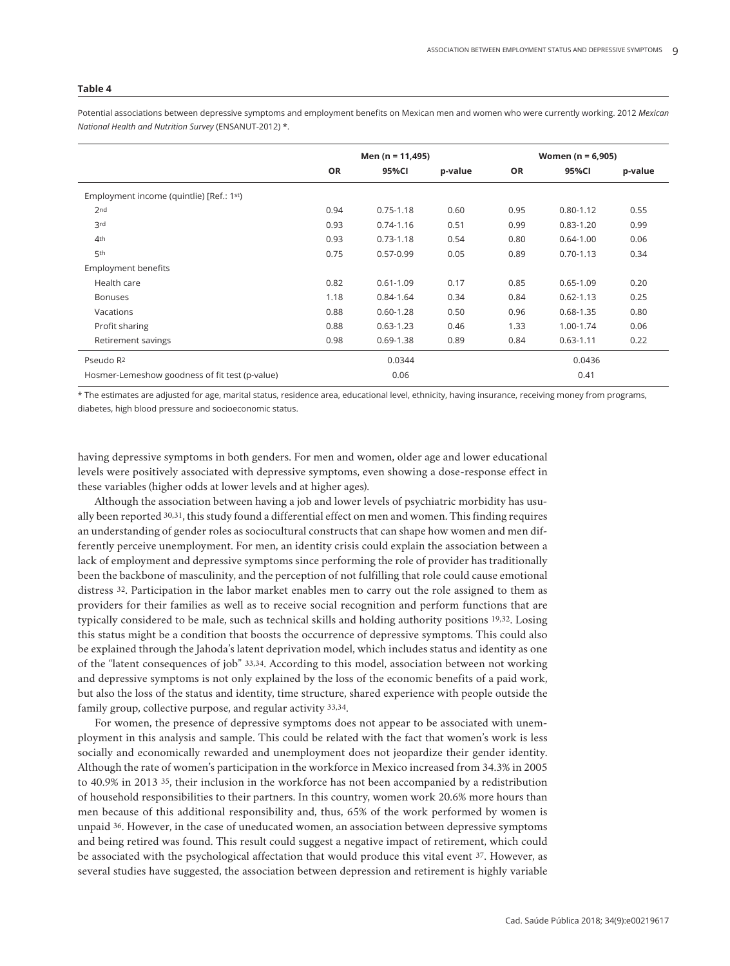Potential associations between depressive symptoms and employment benefits on Mexican men and women who were currently working. 2012 *Mexican National Health and Nutrition Survey* (ENSANUT-2012) \*.

|                                                |           | Men ( $n = 11,495$ ) |         | Women ( $n = 6.905$ ) |               |         |  |
|------------------------------------------------|-----------|----------------------|---------|-----------------------|---------------|---------|--|
|                                                | <b>OR</b> | 95%CI                | p-value | <b>OR</b>             | 95%CI         | p-value |  |
| Employment income (quintlie) [Ref.: 1st)       |           |                      |         |                       |               |         |  |
| 2 <sub>nd</sub>                                | 0.94      | $0.75 - 1.18$        | 0.60    | 0.95                  | $0.80 - 1.12$ | 0.55    |  |
| 3rd                                            | 0.93      | $0.74 - 1.16$        | 0.51    | 0.99                  | $0.83 - 1.20$ | 0.99    |  |
| 4th                                            | 0.93      | $0.73 - 1.18$        | 0.54    | 0.80                  | $0.64 - 1.00$ | 0.06    |  |
| 5th                                            | 0.75      | $0.57 - 0.99$        | 0.05    | 0.89                  | $0.70 - 1.13$ | 0.34    |  |
| <b>Employment benefits</b>                     |           |                      |         |                       |               |         |  |
| Health care                                    | 0.82      | $0.61 - 1.09$        | 0.17    | 0.85                  | $0.65 - 1.09$ | 0.20    |  |
| <b>Bonuses</b>                                 | 1.18      | $0.84 - 1.64$        | 0.34    | 0.84                  | $0.62 - 1.13$ | 0.25    |  |
| Vacations                                      | 0.88      | $0.60 - 1.28$        | 0.50    | 0.96                  | $0.68 - 1.35$ | 0.80    |  |
| Profit sharing                                 | 0.88      | $0.63 - 1.23$        | 0.46    | 1.33                  | 1.00-1.74     | 0.06    |  |
| Retirement savings                             | 0.98      | $0.69 - 1.38$        | 0.89    | 0.84                  | $0.63 - 1.11$ | 0.22    |  |
| Pseudo R <sup>2</sup>                          | 0.0344    |                      |         | 0.0436                |               |         |  |
| Hosmer-Lemeshow goodness of fit test (p-value) |           | 0.06                 |         | 0.41                  |               |         |  |

\* The estimates are adjusted for age, marital status, residence area, educational level, ethnicity, having insurance, receiving money from programs, diabetes, high blood pressure and socioeconomic status.

having depressive symptoms in both genders. For men and women, older age and lower educational levels were positively associated with depressive symptoms, even showing a dose-response effect in these variables (higher odds at lower levels and at higher ages).

Although the association between having a job and lower levels of psychiatric morbidity has usually been reported 30,31, this study found a differential effect on men and women. This finding requires an understanding of gender roles as sociocultural constructs that can shape how women and men differently perceive unemployment. For men, an identity crisis could explain the association between a lack of employment and depressive symptoms since performing the role of provider has traditionally been the backbone of masculinity, and the perception of not fulfilling that role could cause emotional distress 32. Participation in the labor market enables men to carry out the role assigned to them as providers for their families as well as to receive social recognition and perform functions that are typically considered to be male, such as technical skills and holding authority positions 19,32. Losing this status might be a condition that boosts the occurrence of depressive symptoms. This could also be explained through the Jahoda's latent deprivation model, which includes status and identity as one of the "latent consequences of job" 33,34. According to this model, association between not working and depressive symptoms is not only explained by the loss of the economic benefits of a paid work, but also the loss of the status and identity, time structure, shared experience with people outside the family group, collective purpose, and regular activity 33,34.

For women, the presence of depressive symptoms does not appear to be associated with unemployment in this analysis and sample. This could be related with the fact that women's work is less socially and economically rewarded and unemployment does not jeopardize their gender identity. Although the rate of women's participation in the workforce in Mexico increased from 34.3% in 2005 to 40.9% in 2013 35, their inclusion in the workforce has not been accompanied by a redistribution of household responsibilities to their partners. In this country, women work 20.6% more hours than men because of this additional responsibility and, thus, 65% of the work performed by women is unpaid 36. However, in the case of uneducated women, an association between depressive symptoms and being retired was found. This result could suggest a negative impact of retirement, which could be associated with the psychological affectation that would produce this vital event 37. However, as several studies have suggested, the association between depression and retirement is highly variable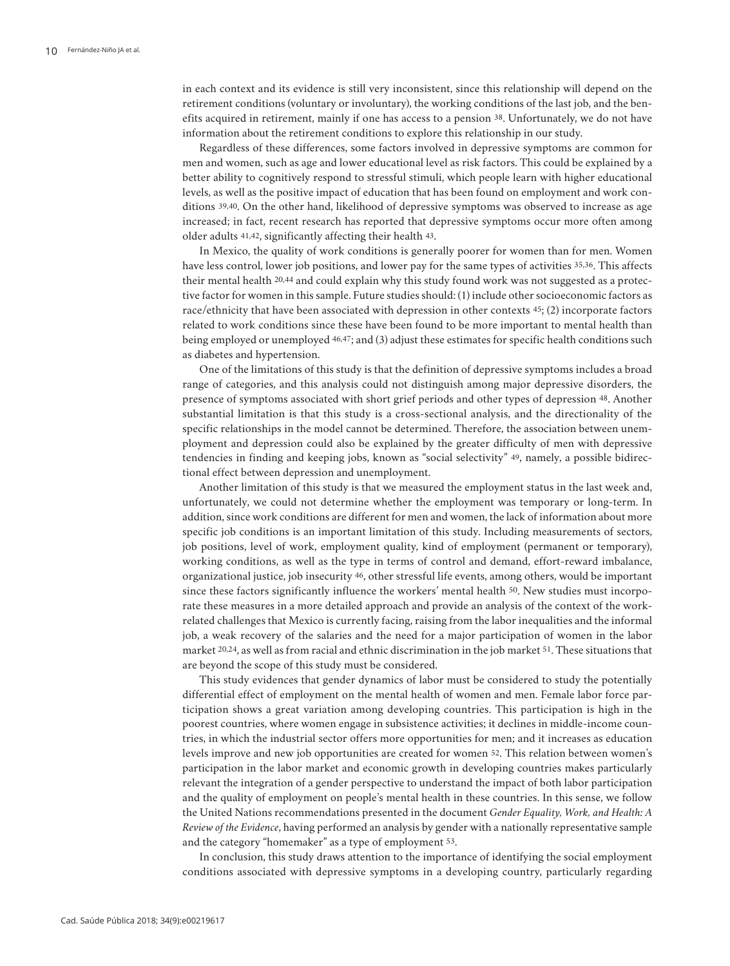in each context and its evidence is still very inconsistent, since this relationship will depend on the retirement conditions (voluntary or involuntary), the working conditions of the last job, and the benefits acquired in retirement, mainly if one has access to a pension 38. Unfortunately, we do not have information about the retirement conditions to explore this relationship in our study.

Regardless of these differences, some factors involved in depressive symptoms are common for men and women, such as age and lower educational level as risk factors. This could be explained by a better ability to cognitively respond to stressful stimuli, which people learn with higher educational levels, as well as the positive impact of education that has been found on employment and work conditions 39,40. On the other hand, likelihood of depressive symptoms was observed to increase as age increased; in fact, recent research has reported that depressive symptoms occur more often among older adults 41,42, significantly affecting their health 43.

In Mexico, the quality of work conditions is generally poorer for women than for men. Women have less control, lower job positions, and lower pay for the same types of activities 35,36. This affects their mental health 20,44 and could explain why this study found work was not suggested as a protective factor for women in this sample. Future studies should: (1) include other socioeconomic factors as race/ethnicity that have been associated with depression in other contexts 45; (2) incorporate factors related to work conditions since these have been found to be more important to mental health than being employed or unemployed 46,47; and (3) adjust these estimates for specific health conditions such as diabetes and hypertension.

One of the limitations of this study is that the definition of depressive symptoms includes a broad range of categories, and this analysis could not distinguish among major depressive disorders, the presence of symptoms associated with short grief periods and other types of depression 48. Another substantial limitation is that this study is a cross-sectional analysis, and the directionality of the specific relationships in the model cannot be determined. Therefore, the association between unemployment and depression could also be explained by the greater difficulty of men with depressive tendencies in finding and keeping jobs, known as "social selectivity" 49, namely, a possible bidirectional effect between depression and unemployment.

Another limitation of this study is that we measured the employment status in the last week and, unfortunately, we could not determine whether the employment was temporary or long-term. In addition, since work conditions are different for men and women, the lack of information about more specific job conditions is an important limitation of this study. Including measurements of sectors, job positions, level of work, employment quality, kind of employment (permanent or temporary), working conditions, as well as the type in terms of control and demand, effort-reward imbalance, organizational justice, job insecurity 46, other stressful life events, among others, would be important since these factors significantly influence the workers' mental health 50. New studies must incorporate these measures in a more detailed approach and provide an analysis of the context of the workrelated challenges that Mexico is currently facing, raising from the labor inequalities and the informal job, a weak recovery of the salaries and the need for a major participation of women in the labor market 20,24, as well as from racial and ethnic discrimination in the job market 51. These situations that are beyond the scope of this study must be considered.

This study evidences that gender dynamics of labor must be considered to study the potentially differential effect of employment on the mental health of women and men. Female labor force participation shows a great variation among developing countries. This participation is high in the poorest countries, where women engage in subsistence activities; it declines in middle-income countries, in which the industrial sector offers more opportunities for men; and it increases as education levels improve and new job opportunities are created for women 52. This relation between women's participation in the labor market and economic growth in developing countries makes particularly relevant the integration of a gender perspective to understand the impact of both labor participation and the quality of employment on people's mental health in these countries. In this sense, we follow the United Nations recommendations presented in the document *Gender Equality, Work, and Health: A Review of the Evidence*, having performed an analysis by gender with a nationally representative sample and the category "homemaker" as a type of employment 53.

In conclusion, this study draws attention to the importance of identifying the social employment conditions associated with depressive symptoms in a developing country, particularly regarding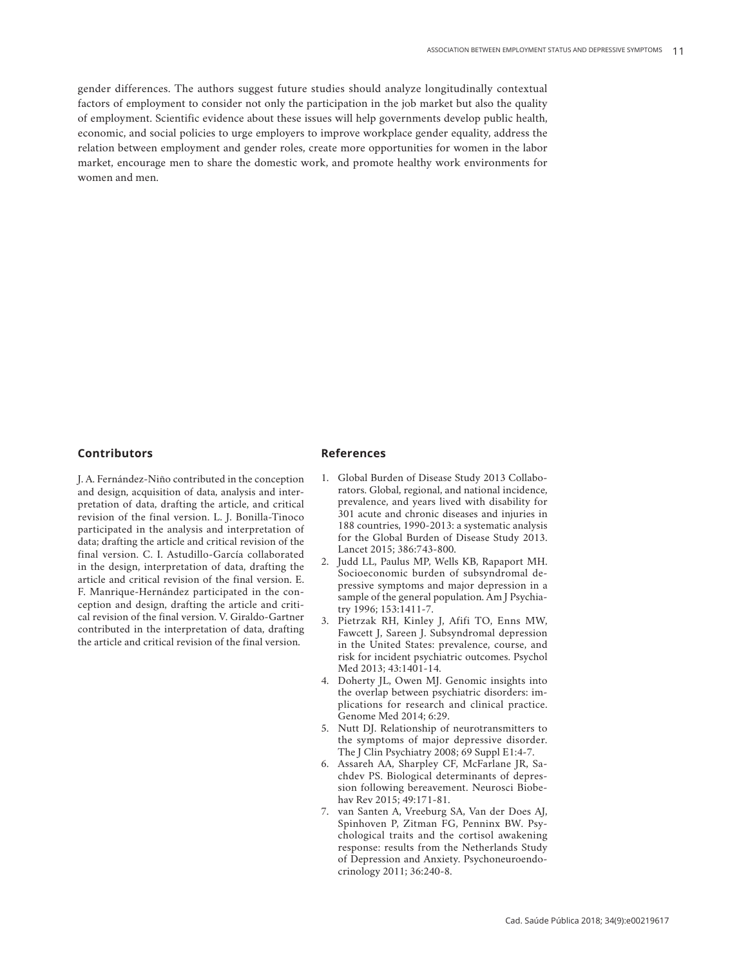gender differences. The authors suggest future studies should analyze longitudinally contextual factors of employment to consider not only the participation in the job market but also the quality of employment. Scientific evidence about these issues will help governments develop public health, economic, and social policies to urge employers to improve workplace gender equality, address the relation between employment and gender roles, create more opportunities for women in the labor market, encourage men to share the domestic work, and promote healthy work environments for women and men.

# **Contributors**

J. A. Fernández-Niño contributed in the conception and design, acquisition of data, analysis and interpretation of data, drafting the article, and critical revision of the final version. L. J. Bonilla-Tinoco participated in the analysis and interpretation of data; drafting the article and critical revision of the final version. C. I. Astudillo-García collaborated in the design, interpretation of data, drafting the article and critical revision of the final version. E. F. Manrique-Hernández participated in the conception and design, drafting the article and critical revision of the final version. V. Giraldo-Gartner contributed in the interpretation of data, drafting the article and critical revision of the final version.

# **References**

- 1. Global Burden of Disease Study 2013 Collaborators. Global, regional, and national incidence, prevalence, and years lived with disability for 301 acute and chronic diseases and injuries in 188 countries, 1990-2013: a systematic analysis for the Global Burden of Disease Study 2013. Lancet 2015; 386:743-800.
- 2. Judd LL, Paulus MP, Wells KB, Rapaport MH. Socioeconomic burden of subsyndromal depressive symptoms and major depression in a sample of the general population. Am J Psychiatry 1996; 153:1411-7.
- 3. Pietrzak RH, Kinley J, Afifi TO, Enns MW, Fawcett J, Sareen J. Subsyndromal depression in the United States: prevalence, course, and risk for incident psychiatric outcomes. Psychol Med 2013; 43:1401-14.
- 4. Doherty JL, Owen MJ. Genomic insights into the overlap between psychiatric disorders: implications for research and clinical practice. Genome Med 2014; 6:29.
- 5. Nutt DJ. Relationship of neurotransmitters to the symptoms of major depressive disorder. The J Clin Psychiatry 2008; 69 Suppl E1:4-7.
- 6. Assareh AA, Sharpley CF, McFarlane JR, Sachdev PS. Biological determinants of depression following bereavement. Neurosci Biobehav Rev 2015; 49:171-81.
- 7. van Santen A, Vreeburg SA, Van der Does AJ, Spinhoven P, Zitman FG, Penninx BW. Psychological traits and the cortisol awakening response: results from the Netherlands Study of Depression and Anxiety. Psychoneuroendocrinology 2011; 36:240-8.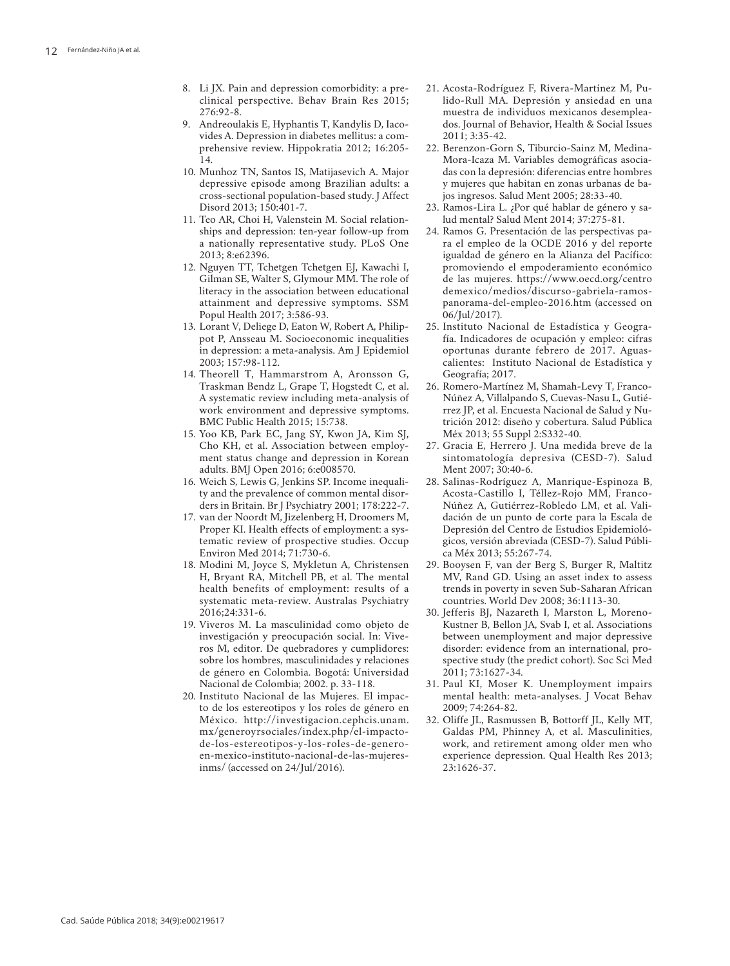- 8. Li JX. Pain and depression comorbidity: a pre clinical perspective. Behav Brain Res 2015; 276:92-8.
- 9. Andreoulakis E, Hyphantis T, Kandylis D, Iaco vides A. Depression in diabetes mellitus: a com prehensive review. Hippokratia 2012; 16:205- 14.
- 10. Munhoz TN, Santos IS, Matijasevich A. Major depressive episode among Brazilian adults: a cross-sectional population-based study. J Affect Disord 2013; 150:401-7.
- 11. Teo AR, Choi H, Valenstein M. Social relation ships and depression: ten-year follow-up from a nationally representative study. PLoS One 2013; 8:e62396.
- 12. Nguyen TT, Tchetgen Tchetgen EJ, Kawachi I, Gilman SE, Walter S, Glymour MM. The role of literacy in the association between educational attainment and depressive symptoms. SSM Popul Health 2017; 3:586-93.
- 13. Lorant V, Deliege D, Eaton W, Robert A, Philip pot P, Ansseau M. Socioeconomic inequalities in depression: a meta-analysis. Am J Epidemiol 2003; 157:98-112.
- 14. Theorell T, Hammarstrom A, Aronsson G, Traskman Bendz L, Grape T, Hogstedt C, et al. A systematic review including meta-analysis of work environment and depressive symptoms. BMC Public Health 2015; 15:738.
- 15. Yoo KB, Park EC, Jang SY, Kwon JA, Kim SJ, Cho KH, et al. Association between employ ment status change and depression in Korean adults. BMJ Open 2016; 6:e008570.
- 16. Weich S, Lewis G, Jenkins SP. Income inequali ty and the prevalence of common mental disor ders in Britain. Br J Psychiatry 2001; 178:222-7.
- 17. van der Noordt M, Jizelenberg H, Droomers M, Proper KI. Health effects of employment: a sys tematic review of prospective studies. Occup Environ Med 2014; 71:730-6.
- 18. Modini M, Joyce S, Mykletun A, Christensen H, Bryant RA, Mitchell PB, et al. The mental health benefits of employment: results of a systematic meta-review. Australas Psychiatry 2016;24:331-6.
- 19. Viveros M. La masculinidad como objeto de investigación y preocupación social. In: Vive ros M, editor. De quebradores y cumplidores: sobre los hombres, masculinidades y relaciones de género en Colombia. Bogotá: Universidad Nacional de Colombia; 2002. p. 33-118.
- 20. Instituto Nacional de las Mujeres. El impac to de los estereotipos y los roles de g énero en M éxico. http://investigacion.cephcis.unam. mx/generoyrsociales/index.php/el-impactode-los-estereotipos-y-los-roles-de-generoen-mexico-instituto-nacional-de-las-mujeresinms/ (accessed on 24/Jul/2016).
- 21. Acosta-Rodríguez F, Rivera-Martínez M, Pu lido-Rull MA. Depresión y ansiedad en una muestra de individuos mexicanos desemplea dos. Journal of Behavior, Health & Social Issues 2011; 3:35-42.
- 22. Berenzon-Gorn S, Tiburcio-Sainz M, Medina-Mora-Icaza M. Variables demográficas asociadas con la depresión: diferencias entre hombres y mujeres que habitan en zonas urbanas de ba jos ingresos. Salud Ment 2005; 28:33-40.
- 23. Ramos-Lira L. ¿Por qué hablar de género y sa lud mental? Salud Ment 2014; 37:275-81.
- 24. Ramos G. Presentación de las perspectivas pa ra el empleo de la OCDE 2016 y del reporte igualdad de género en la Alianza del Pacífico: promoviendo el empoderamiento económico de las mujeres. https://www.oecd.org/centro demexico/medios/discurso-gabriela-ramospanorama-del-empleo-2016.htm (accessed on 06/Jul/2017).
- 25. Instituto Nacional de Estadística y Geogra fía. Indicadores de ocupación y empleo: cifras oportunas durante febrero de 2017. Aguas calientes: Instituto Nacional de Estadística y Geografía; 2017.
- 26. Romero-Martínez M, Shamah-Levy T, Franco-Núñez A, Villalpando S, Cuevas-Nasu L, Gutiérrez JP, et al. Encuesta Nacional de Salud y Nutrición 2012: diseño y cobertura. Salud Pública Méx 2013; 55 Suppl 2:S332-40.
- 27. Gracia E, Herrero J. Una medida breve de la sintomatología depresiva (CESD-7). Salud Ment 2007; 30:40-6.
- 28. Salinas-Rodríguez A, Manrique-Espinoza B, Acosta-Castillo I, Téllez-Rojo MM, Franco-Núñez A, Gutiérrez-Robledo LM, et al. Validación de un punto de corte para la Escala de Depresión del Centro de Estudios Epidemioló gicos, versión abreviada (CESD-7). Salud Públi ca Méx 2013; 55:267-74.
- 29. Booysen F, van der Berg S, Burger R, Maltitz MV, Rand GD. Using an asset index to assess trends in poverty in seven Sub-Saharan African countries. World Dev 2008; 36:1113-30.
- 30. Jefferis BJ, Nazareth I, Marston L, Moreno-Kustner B, Bellon JA, Svab I, et al. Associations between unemployment and major depressive disorder: evidence from an international, pro spective study (the predict cohort). Soc Sci Med 2011; 73:1627-34.
- 31. Paul KI, Moser K. Unemployment impairs mental health: meta-analyses. J Vocat Behav 2009; 74:264-82.
- 32. Oliffe JL, Rasmussen B, Bottorff JL, Kelly MT, Galdas PM, Phinney A, et al. Masculinities, work, and retirement among older men who experience depression. Qual Health Res 2013; 23:1626-37.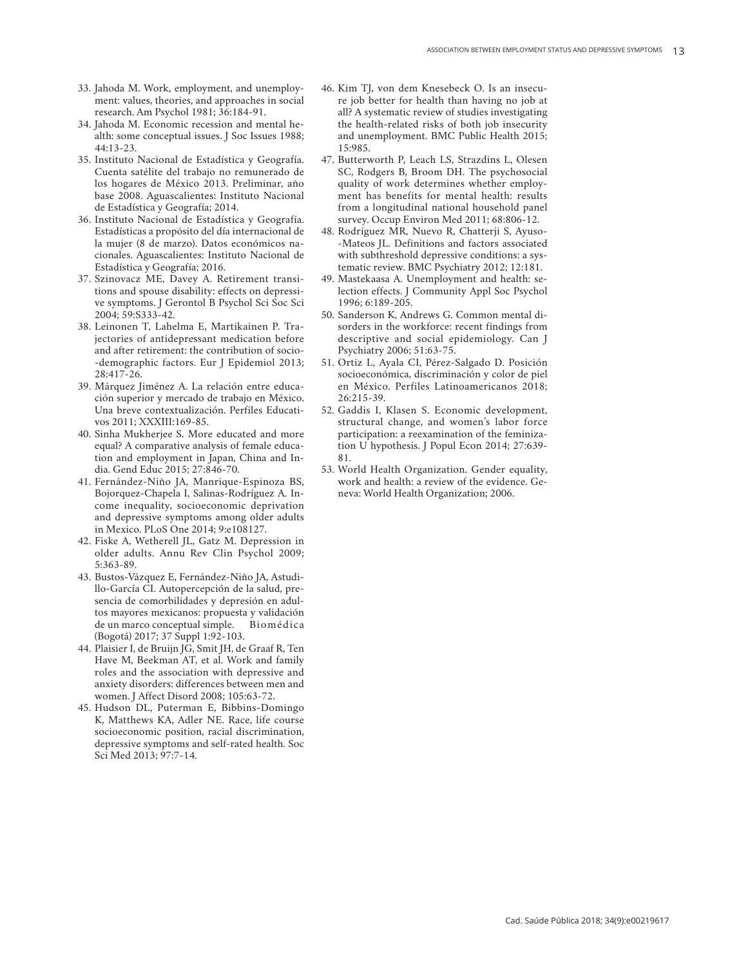- 33. Jahoda M. Work, employment, and unemploy ment: values, theories, and approaches in social research. Am Psychol 1981; 36:184-91.
- 34. Jahoda M. Economic recession and mental he alth: some conceptual issues. J Soc Issues 1988; 44:13-23.
- 35. Instituto Nacional de Estadística y Geografía. Cuenta satélite del trabajo no remunerado de los hogares de México 2013. Preliminar, año base 2008. Aguascalientes: Instituto Nacional de Estadística y Geografía; 2014.
- 36. Instituto Nacional de Estadística y Geografía. Estadísticas a propósito del día internacional de la mujer (8 de marzo). Datos económicos na cionales. Aguascalientes: Instituto Nacional de Estadística y Geografía; 2016.
- 37. Szinovacz ME, Davey A. Retirement transi tions and spouse disability: effects on depressi ve symptoms. J Gerontol B Psychol Sci Soc Sci 2004; 59:S333-42.
- 38. Leinonen T, Lahelma E, Martikainen P. Tra jectories of antidepressant medication before and after retirement: the contribution of socio - -demographic factors. Eur J Epidemiol 2013; 28:417-26.
- 39. Márquez Jiménez A. La relación entre educa ción superior y mercado de trabajo en México. Una breve contextualización. Perfiles Educati vos 2011; XXXIII:169-85.
- 40. Sinha Mukherjee S. More educated and more equal? A comparative analysis of female educa tion and employment in Japan, China and In dia. Gend Educ 2015; 27:846-70.
- 41. Fernández-Niño JA, Manrique-Espinoza BS, Bojorquez-Chapela I, Salinas-Rodríguez A. In come inequality, socioeconomic deprivation and depressive symptoms among older adults in Mexico. PLoS One 2014; 9:e108127.
- 42. Fiske A, Wetherell JL, Gatz M. Depression in older adults. Annu Rev Clin Psychol 2009; 5:363-89.
- 43. Bustos-Vázquez E, Fernández-Niño JA, Astudi llo-García CI. Autopercepción de la salud, pre sencia de comorbilidades y depresión en adul tos mayores mexicanos: propuesta y validación de un marco conceptual simple. Biomédica (Bogotá) 2017; 37 Suppl 1:92-103.
- 44. Plaisier I, de Bruijn JG, Smit JH, de Graaf R, Ten Have M, Beekman AT, et al. Work and family roles and the association with depressive and anxiety disorders: differences between men and women. J Affect Disord 2008; 105:63-72.
- 45. Hudson DL, Puterman E, Bibbins-Domingo K, Matthews KA, Adler NE. Race, life course socioeconomic position, racial discrimination, depressive symptoms and self-rated health. Soc Sci Med 2013; 97:7-14.
- 46. Kim TJ, von dem Knesebeck O. Is an insecu re job better for health than having no job at all? A systematic review of studies investigating the health-related risks of both job insecurity and unemployment. BMC Public Health 2015; 15:985.
- 47. Butterworth P, Leach LS, Strazdins L, Olesen SC, Rodgers B, Broom DH. The psychosocial quality of work determines whether employ ment has benefits for mental health: results from a longitudinal national household panel survey. Occup Environ Med 2011; 68:806-12.
- 48. Rodríguez MR, Nuevo R, Chatterji S, Ayuso -Mateos JL. Definitions and factors associated with subthreshold depressive conditions: a sys tematic review. BMC Psychiatry 2012; 12:181.
- 49. Mastekaasa A. Unemployment and health: se lection effects. J Community Appl Soc Psychol 1996; 6:189-205.
- 50. Sanderson K, Andrews G. Common mental di sorders in the workforce: recent findings from descriptive and social epidemiology. Can J Psychiatry 2006; 51:63-75.
- 51. Ortiz L, Ayala CI, Pérez-Salgado D. Posición socioeconómica, discriminación y color de piel en México. Perfiles Latinoamericanos 2018; 26:215-39.
- 52. Gaddis I, Klasen S. Economic development, structural change, and women's labor force participation: a reexamination of the feminiza tion U hypothesis. J Popul Econ 2014; 27:639- 81.
- 53. World Health Organization. Gender equality, work and health: a review of the evidence. Ge neva: World Health Organization; 2006.